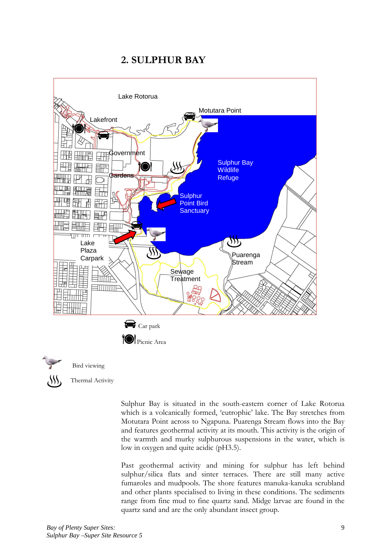# 2. SULPHUR BAY





Bird viewing

Thermal Activity

Sulphur Bay is situated in the south-eastern corner of Lake Rotorua which is a volcanically formed, 'eutrophic' lake. The Bay stretches from Motutara Point across to Ngapuna. Puarenga Stream flows into the Bay and features geothermal activity at its mouth. This activity is the origin of the warmth and murky sulphurous suspensions in the water, which is low in oxygen and quite acidic (pH3.5).

Past geothermal activity and mining for sulphur has left behind sulphur/silica flats and sinter terraces. There are still many active fumaroles and mudpools. The shore features manuka-kanuka scrubland and other plants specialised to living in these conditions. The sediments range from fine mud to fine quartz sand. Midge larvae are found in the quartz sand and are the only abundant insect group.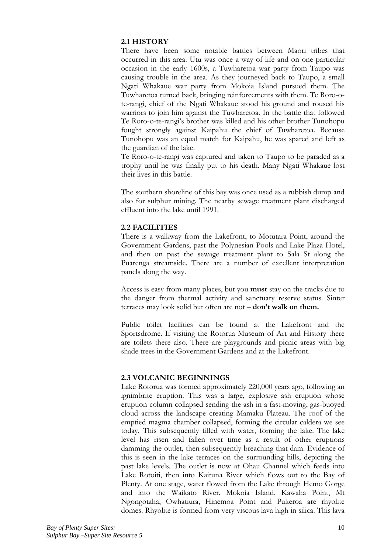## 2.1 HISTORY

There have been some notable battles between Maori tribes that occurred in this area. Utu was once a way of life and on one particular occasion in the early 1600s, a Tuwharetoa war party from Taupo was causing trouble in the area. As they journeyed back to Taupo, a small Ngati Whakaue war party from Mokoia Island pursued them. The Tuwharetoa turned back, bringing reinforcements with them. Te Roro-ote-rangi, chief of the Ngati Whakaue stood his ground and roused his warriors to join him against the Tuwharetoa. In the battle that followed Te Roro-o-te-rangi's brother was killed and his other brother Tunohopu fought strongly against Kaipahu the chief of Tuwharetoa. Because Tunohopu was an equal match for Kaipahu, he was spared and left as the guardian of the lake.

Te Roro-o-te-rangi was captured and taken to Taupo to be paraded as a trophy until he was finally put to his death. Many Ngati Whakaue lost their lives in this battle.

The southern shoreline of this bay was once used as a rubbish dump and also for sulphur mining. The nearby sewage treatment plant discharged effluent into the lake until 1991.

# **2.2 FACILITIES**

There is a walkway from the Lakefront, to Motutara Point, around the Government Gardens, past the Polynesian Pools and Lake Plaza Hotel, and then on past the sewage treatment plant to Sala St along the Puarenga streamside. There are a number of excellent interpretation panels along the way.

Access is easy from many places, but you **must** stay on the tracks due to the danger from thermal activity and sanctuary reserve status. Sinter terraces may look solid but often are not - don't walk on them.

Public toilet facilities can be found at the Lakefront and the Sportsdrome. If visiting the Rotorua Museum of Art and History there are toilets there also. There are playgrounds and picnic areas with big shade trees in the Government Gardens and at the Lakefront

# **2.3 VOLCANIC BEGINNINGS**

Lake Rotorua was formed approximately 220,000 years ago, following an ignimbrite eruption. This was a large, explosive ash eruption whose eruption column collapsed sending the ash in a fast-moving, gas-buoyed cloud across the landscape creating Mamaku Plateau. The roof of the emptied magma chamber collapsed, forming the circular caldera we see today. This subsequently filled with water, forming the lake. The lake level has risen and fallen over time as a result of other eruptions damming the outlet, then subsequently breaching that dam. Evidence of this is seen in the lake terraces on the surrounding hills, depicting the past lake levels. The outlet is now at Ohau Channel which feeds into Lake Rotoiti, then into Kaituna River which flows out to the Bay of Plenty. At one stage, water flowed from the Lake through Hemo Gorge and into the Waikato River. Mokoia Island, Kawaha Point, Mt Ngongotaha, Owhatiura, Hinemoa Point and Pukeroa are rhyolite domes. Rhyolite is formed from very viscous lava high in silica. This lava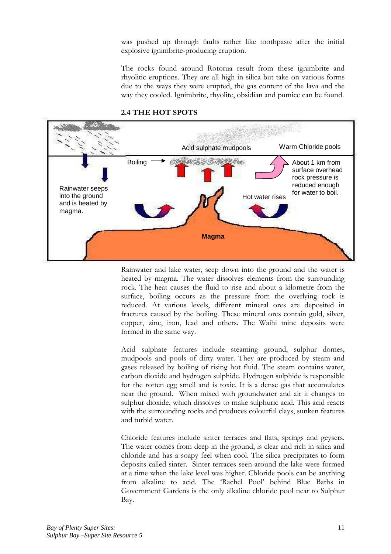was pushed up through faults rather like toothpaste after the initial explosive ignimbrite-producing eruption.

The rocks found around Rotorua result from these ignimbrite and rhyolitic eruptions. They are all high in silica but take on various forms due to the ways they were erupted, the gas content of the lava and the way they cooled. Ignimbrite, rhyolite, obsidian and pumice can be found.



#### 2.4 THE HOT SPOTS

Rainwater and lake water, seep down into the ground and the water is heated by magma. The water dissolves elements from the surrounding rock. The heat causes the fluid to rise and about a kilometre from the surface, boiling occurs as the pressure from the overlying rock is reduced. At various levels, different mineral ores are deposited in fractures caused by the boiling. These mineral ores contain gold, silver, copper, zinc, iron, lead and others. The Waihi mine deposits were formed in the same way.

Acid sulphate features include steaming ground, sulphur domes, mudpools and pools of dirty water. They are produced by steam and gases released by boiling of rising hot fluid. The steam contains water, carbon dioxide and hydrogen sulphide. Hydrogen sulphide is responsible for the rotten egg smell and is toxic. It is a dense gas that accumulates near the ground. When mixed with groundwater and air it changes to sulphur dioxide, which dissolves to make sulphuric acid. This acid reacts with the surrounding rocks and produces colourful clays, sunken features and turbid water.

Chloride features include sinter terraces and flats, springs and geysers. The water comes from deep in the ground, is clear and rich in silica and chloride and has a soapy feel when cool. The silica precipitates to form deposits called sinter. Sinter terraces seen around the lake were formed at a time when the lake level was higher. Chloride pools can be anything from alkaline to acid. The 'Rachel Pool' behind Blue Baths in Government Gardens is the only alkaline chloride pool near to Sulphur Bay.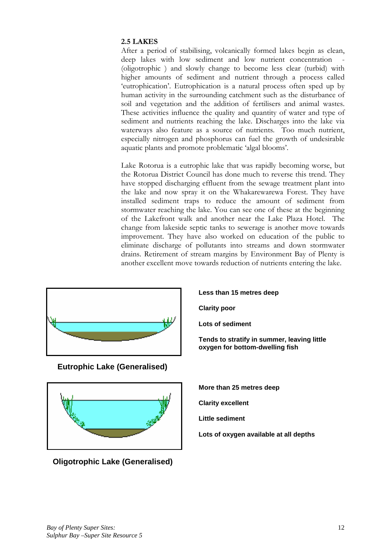## 2.5 LAKES

After a period of stabilising, volcanically formed lakes begin as clean, deep lakes with low sediment and low nutrient concentration -(oligotrophic ) and slowly change to become less clear (turbid) with higher amounts of sediment and nutrient through a process called 'eutrophication'. Eutrophication is a natural process often sped up by human activity in the surrounding catchment such as the disturbance of soil and vegetation and the addition of fertilisers and animal wastes. These activities influence the quality and quantity of water and type of sediment and nutrients reaching the lake. Discharges into the lake via waterways also feature as a source of nutrients. Too much nutrient, especially nitrogen and phosphorus can fuel the growth of undesirable aquatic plants and promote problematic 'algal blooms'.

Lake Rotorua is a eutrophic lake that was rapidly becoming worse, but the Rotorua District Council has done much to reverse this trend. They have stopped discharging effluent from the sewage treatment plant into the lake and now spray it on the Whakarewarewa Forest. They have installed sediment traps to reduce the amount of sediment from stormwater reaching the lake. You can see one of these at the beginning of the Lakefront walk and another near the Lake Plaza Hotel. The change from lakeside septic tanks to sewerage is another move towards improvement. They have also worked on education of the public to eliminate discharge of pollutants into streams and down stormwater drains. Retirement of stream margins by Environment Bay of Plenty is another excellent move towards reduction of nutrients entering the lake.



**Eutrophic Lake (Generalised)** 



**Oligotrophic Lake (Generalised)** 

**Less than 15 metres deep** 

**Clarity poor** 

**Lots of sediment** 

**Tends to stratify in summer, leaving little oxygen for bottom-dwelling fish** 

**More than 25 metres deep** 

**Clarity excellent** 

**Little sediment** 

**Lots of oxygen available at all depths**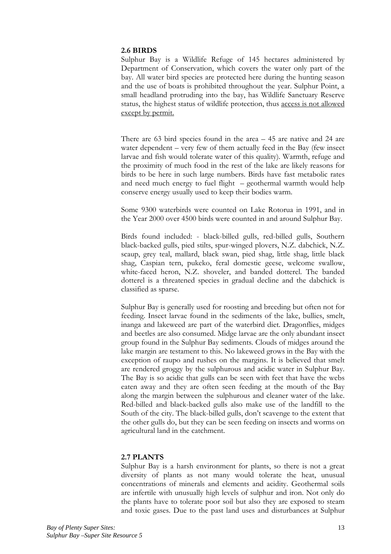### 2.6 BIRDS

Sulphur Bay is a Wildlife Refuge of 145 hectares administered by Department of Conservation, which covers the water only part of the bay. All water bird species are protected here during the hunting season and the use of boats is prohibited throughout the year. Sulphur Point, a small headland protruding into the bay, has Wildlife Sanctuary Reserve status, the highest status of wildlife protection, thus access is not allowed except by permit.

There are  $63$  bird species found in the area  $-45$  are native and 24 are water dependent  $-$  very few of them actually feed in the Bay (few insect larvae and fish would tolerate water of this quality). Warmth, refuge and the proximity of much food in the rest of the lake are likely reasons for birds to be here in such large numbers. Birds have fast metabolic rates and need much energy to fuel flight - geothermal warmth would help conserve energy usually used to keep their bodies warm.

Some 9300 waterbirds were counted on Lake Rotorua in 1991, and in the Year 2000 over 4500 birds were counted in and around Sulphur Bay.

Birds found included: - black-billed gulls, red-billed gulls, Southern black-backed gulls, pied stilts, spur-winged plovers, N.Z. dabchick, N.Z. scaup, grey teal, mallard, black swan, pied shag, little shag, little black shag, Caspian tern, pukeko, feral domestic geese, welcome swallow, white-faced heron, N.Z. shoveler, and banded dotterel. The banded dotterel is a threatened species in gradual decline and the dabchick is classified as sparse.

Sulphur Bay is generally used for roosting and breeding but often not for feeding. Insect larvae found in the sediments of the lake, bullies, smelt, inanga and lakeweed are part of the waterbird diet. Dragonflies, midges and beetles are also consumed. Midge larvae are the only abundant insect group found in the Sulphur Bay sediments. Clouds of midges around the lake margin are testament to this. No lakeweed grows in the Bay with the exception of raupo and rushes on the margins. It is believed that smelt are rendered groggy by the sulphurous and acidic water in Sulphur Bay. The Bay is so acidic that gulls can be seen with feet that have the webs eaten away and they are often seen feeding at the mouth of the Bay along the margin between the sulphurous and cleaner water of the lake. Red-billed and black-backed gulls also make use of the landfill to the South of the city. The black-billed gulls, don't scavenge to the extent that the other gulls do, but they can be seen feeding on insects and worms on agricultural land in the catchment.

### 2.7 PLANTS

Sulphur Bay is a harsh environment for plants, so there is not a great diversity of plants as not many would tolerate the heat, unusual concentrations of minerals and elements and acidity. Geothermal soils are infertile with unusually high levels of sulphur and iron. Not only do the plants have to tolerate poor soil but also they are exposed to steam and toxic gases. Due to the past land uses and disturbances at Sulphur